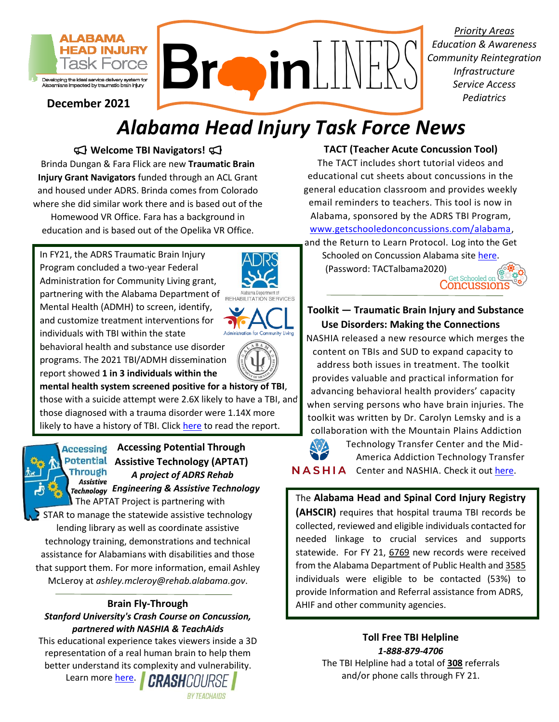

**December 2021** 

# *Alabama Head Injury Task Force News*

 **Welcome TBI Navigators!**  Brinda Dungan & Fara Flick are new **Traumatic Brain Injury Grant Navigators** funded through an ACL Grant and housed under ADRS. Brinda comes from Colorado where she did similar work there and is based out of the Homewood VR Office. Fara has a background in education and is based out of the Opelika VR Office.

Program concluded a two-year Federal and customize treatment interventions for<br>individuals with TBI within the state individuals with TBI within the state In FY21, the ADRS Traumatic Brain Injury Administration for Community Living grant, partnering with the Alabama Department of **REHABILITATION SERVICES** Mental Health (ADMH) to screen, identify,





 programs. The 2021 TBI/ADMH dissemination  report showed **1 in 3 individuals within the**  behavioral health and substance use disorder

likely to have a history of TBI. Click [here](http://www.alabamatbi.org/mental-health.html) to read the report. those with a suicide attempt were 2.6X likely to have a TBI, and l **mental health system screened positive for a history of TBI**, those diagnosed with a trauma disorder were 1.14X more



 **Assistive Technology (APTAT)**  The APTAT Project is partnering with **Accessing Potential Through**  *A project of ADRS Rehab Engineering & Assistive Technology* 

STAR to manage the statewide assistive technology lending library as well as coordinate assistive technology training, demonstrations and technical assistance for Alabamians with disabilities and those that support them. For more information, email Ashley McLeroy at *[ashley.mcleroy@rehab.alabama.gov](mailto:ashley.mcleroy@rehab.alabama.gov)*.

### **Brain Fly-Through**

## *Stanford University's Crash Course on Concussion,*

**partnered with NASHIA & TeachAids**<br>Toll Free TBI Helpline **This educational experience takes viewers inside a 3D**<br>**1-888-879-4706**<br>**1-888-879-4706** representation of a real human brain to help them **1-888-879-4706**<br>hetter understand its complexity and vulnerability **1.888-879-4706** The TBI Helpline had a total of 308 referrals better understand its complexity and vulnerability.

Learn more [here](https://med.stanford.edu/neurosurgery/divisions/vr-lab/CrashCourse.html).  $\blacksquare$  CRASHCOURSE  $\blacksquare$  and/or phone calls through FY 21. **BY TEACHAIDS** 

#### **TACT (Teacher Acute Concussion Tool)**

 *Priority Areas* 

*Education & Awareness Community Reintegration Infrastructure* 

*Pediatrics* 

 general education classroom and provides weekly Alabama, sponsored by the ADRS TBI Program, and the Return to Learn Protocol. Log into the Get The TACT includes short tutorial videos and educational cut sheets about concussions in the email reminders to teachers. This tool is now in [www.getschooledonconcussions.com/alabama,](file://///adrsunity/users/fara.flick/Documents/Task%20Force/Newsletters/www.getschooledonconcussions.com/alabama)

Schooled on Concussion Alabama sit[e here.](https://www.getschooledonconcussions.com/alabama/) (Password: TACTalbama2020) Get Schooled on Concussion:

#### **Use Disorders: Making the Connections Toolkit — Traumatic Brain Injury and Substance**

NASHIA released a new resource which merges the content on TBIs and SUD to expand capacity to address both issues in treatment. The toolkit provides valuable and practical information for advancing behavioral health providers' capacity when serving persons who have brain injuries. The toolkit was written by Dr. Carolyn Lemsky and is a collaboration with the Mountain Plains Addiction



**IIA** Center and NASHIA. Check it out [here.](https://www.nashia.org/resources-list/olia67paxy7sg1u4fr3tzqpezuvdto-knjxh-5j6np) Technology Transfer Center and the Mid-America Addiction Technology Transfer

 The **Alabama Head and Spinal Cord Injury Registry (AHSCIR)** requires that hospital trauma TBI records be collected, reviewed and eligible individuals contacted for needed linkage to crucial services and supports from the Alabama Department of Public Health and 3585 individuals were eligible to be contacted (53%) to AHIF and other community agencies. statewide. For FY 21, 6769 new records were received provide Information and Referral assistance from ADRS,